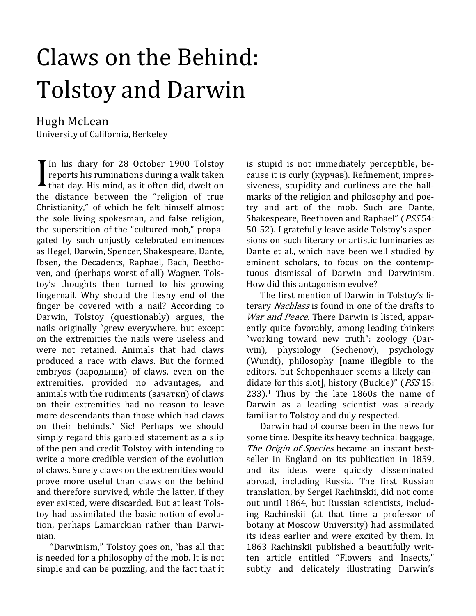# Claws on the Behind: Tolstoy and Darwin

Hugh McLean University of California, Berkeley

In his diary for 28 October 1900 Tolstoy reports his ruminations during a walk taken that day. His mind, as it often did, dwelt on the distance between the "religion of true Christianity," of which he felt himself almost the sole living spokesman, and false religion, the superstition of the "cultured mob," propagated by such unjustly celebrated eminences as Hegel, Darwin, Spencer, Shakespeare, Dante, Ibsen, the Decadents, Raphael, Bach, Beethoven, and (perhaps worst of all) Wagner. Tolstoy's thoughts then turned to his growing fingernail. Why should the fleshy end of the finger be covered with a nail? According to Darwin, Tolstoy (questionably) argues, the nails originally "grew everywhere, but except on the extremities the nails were useless and were not retained. Animals that had claws produced a race with claws. But the formed embryos (зародыши) of claws, even on the extremities, provided no advantages, and animals with the rudiments (зачатки) of claws on their extremities had no reason to leave more descendants than those which had claws on their behinds." Sic! Perhaps we should simply regard this garbled statement as a slip of the pen and credit Tolstoy with intending to write a more credible version of the evolution of claws. Surely claws on the extremities would prove more useful than claws on the behind and therefore survived, while the latter, if they ever existed, were discarded. But at least Tolstoy had assimilated the basic notion of evolution, perhaps Lamarckian rather than Darwinian.

"Darwinism," Tolstoy goes on, "has all that is needed for a philosophy of the mob. It is not simple and can be puzzling, and the fact that it is stupid is not immediately perceptible, because it is curly (курчав). Refinement, impressiveness, stupidity and curliness are the hallmarks of the religion and philosophy and poetry and art of the mob. Such are Dante, Shakespeare, Beethoven and Raphael" (PSS 54: 50-52). I gratefully leave aside Tolstoy's aspersions on such literary or artistic luminaries as Dante et al., which have been well studied by eminent scholars, to focus on the contemptuous dismissal of Darwin and Darwinism. How did this antagonism evolve?

The first mention of Darwin in Tolstoy's literary Nachlass is found in one of the drafts to War and Peace. There Darwin is listed, apparently quite favorably, among leading thinkers "working toward new truth": zoology (Darwin), physiology (Sechenov), psychology (Wundt), philosophy [name illegible to the editors, but Schopenhauer seems a likely candidate for this slot], history (Buckle)" (PSS 15:  $233$ ).<sup>1</sup> Thus by the late 1860s the name of Darwin as a leading scientist was already familiar to Tolstoy and duly respected.

Darwin had of course been in the news for some time. Despite its heavy technical baggage, The Origin of Species became an instant bestseller in England on its publication in 1859, and its ideas were quickly disseminated abroad, including Russia. The first Russian translation, by Sergei Rachinskii, did not come out until 1864, but Russian scientists, including Rachinskii (at that time a professor of botany at Moscow University) had assimilated its ideas earlier and were excited by them. In 1863 Rachinskii published a beautifully written article entitled "Flowers and Insects," subtly and delicately illustrating Darwin's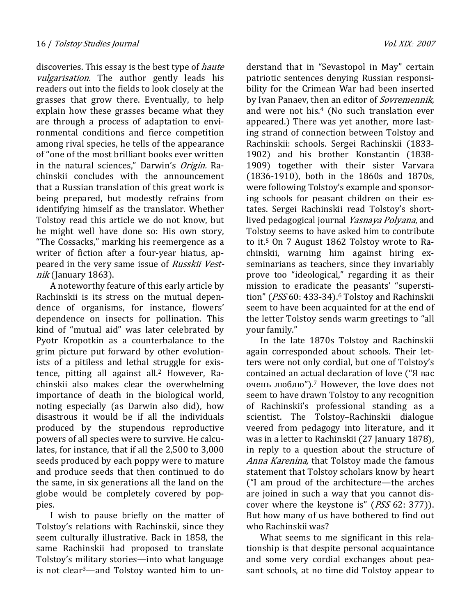discoveries. This essay is the best type of *haute* vulgarisation. The author gently leads his readers out into the fields to look closely at the grasses that grow there. Eventually, to help explain how these grasses became what they are through a process of adaptation to environmental conditions and fierce competition among rival species, he tells of the appearance of "one of the most brilliant books ever written in the natural sciences," Darwin's Origin. Rachinskii concludes with the announcement that a Russian translation of this great work is being prepared, but modestly refrains from identifying himself as the translator. Whether Tolstoy read this article we do not know, but he might well have done so: His own story, "The Cossacks," marking his reemergence as a writer of fiction after a four-year hiatus, appeared in the very same issue of Russkii Vestnik (January 1863).

A noteworthy feature of this early article by Rachinskii is its stress on the mutual dependence of organisms, for instance, flowers' dependence on insects for pollination. This kind of "mutual aid" was later celebrated by Pyotr Kropotkin as a counterbalance to the grim picture put forward by other evolutionists of a pitiless and lethal struggle for existence, pitting all against all.2 However, Rachinskii also makes clear the overwhelming importance of death in the biological world, noting especially (as Darwin also did), how disastrous it would be if all the individuals produced by the stupendous reproductive powers of all species were to survive. He calculates, for instance, that if all the 2,500 to 3,000 seeds produced by each poppy were to mature and produce seeds that then continued to do the same, in six generations all the land on the globe would be completely covered by poppies.

I wish to pause briefly on the matter of Tolstoy's relations with Rachinskii, since they seem culturally illustrative. Back in 1858, the same Rachinskii had proposed to translate Tolstoy's military stories—into what language is not clear3—and Tolstoy wanted him to un-

derstand that in "Sevastopol in May" certain patriotic sentences denying Russian responsibility for the Crimean War had been inserted by Ivan Panaev, then an editor of *Sovremennik*, and were not his.4 (No such translation ever appeared.) There was yet another, more lasting strand of connection between Tolstoy and Rachinskii: schools. Sergei Rachinskii (1833- 1902) and his brother Konstantin (1838- 1909) together with their sister Varvara (1836-1910), both in the 1860s and 1870s, were following Tolstoy's example and sponsoring schools for peasant children on their estates. Sergei Rachinskii read Tolstoy's shortlived pedagogical journal Yasnaya Polyana, and Tolstoy seems to have asked him to contribute to it.5 On 7 August 1862 Tolstoy wrote to Rachinskii, warning him against hiring exseminarians as teachers, since they invariably prove too "ideological," regarding it as their mission to eradicate the peasants' "superstition" (PSS 60: 433-34).<sup>6</sup> Tolstoy and Rachinskii seem to have been acquainted for at the end of the letter Tolstoy sends warm greetings to "all your family."

In the late 1870s Tolstoy and Rachinskii again corresponded about schools. Their letters were not only cordial, but one of Tolstoy's contained an actual declaration of love ("Я вас очень люблю").7 However, the love does not seem to have drawn Tolstoy to any recognition of Rachinskii's professional standing as a scientist. The Tolstoy–Rachinskii dialogue veered from pedagogy into literature, and it was in a letter to Rachinskii (27 January 1878), in reply to a question about the structure of Anna Karenina, that Tolstoy made the famous statement that Tolstoy scholars know by heart ("I am proud of the architecture—the arches are joined in such a way that you cannot discover where the keystone is" (PSS 62: 377)). But how many of us have bothered to find out who Rachinskii was?

What seems to me significant in this relationship is that despite personal acquaintance and some very cordial exchanges about peasant schools, at no time did Tolstoy appear to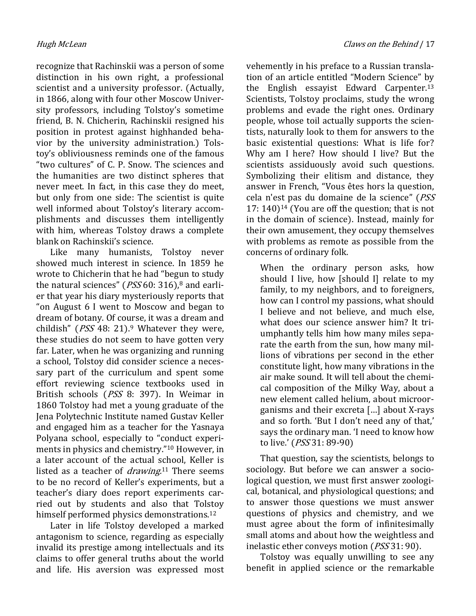recognize that Rachinskii was a person of some distinction in his own right, a professional scientist and a university professor. (Actually, in 1866, along with four other Moscow University professors, including Tolstoy's sometime friend, B. N. Chicherin, Rachinskii resigned his position in protest against highhanded behavior by the university administration.) Tolstoy's obliviousness reminds one of the famous "two cultures" of C. P. Snow. The sciences and the humanities are two distinct spheres that never meet. In fact, in this case they do meet, but only from one side: The scientist is quite well informed about Tolstoy's literary accomplishments and discusses them intelligently with him, whereas Tolstoy draws a complete blank on Rachinskii's science.

Like many humanists, Tolstoy never showed much interest in science. In 1859 he wrote to Chicherin that he had "begun to study the natural sciences" ( $PSS 60: 316$ ),<sup>8</sup> and earlier that year his diary mysteriously reports that "on August 6 I went to Moscow and began to dream of botany. Of course, it was a dream and childish" ( $PSS$  48: 21).<sup>9</sup> Whatever they were, these studies do not seem to have gotten very far. Later, when he was organizing and running a school, Tolstoy did consider science a necessary part of the curriculum and spent some effort reviewing science textbooks used in British schools (PSS 8: 397). In Weimar in 1860 Tolstoy had met a young graduate of the Jena Polytechnic Institute named Gustav Keller and engaged him as a teacher for the Yasnaya Polyana school, especially to "conduct experiments in physics and chemistry."10 However, in a later account of the actual school, Keller is listed as a teacher of *drawing*.<sup>11</sup> There seems to be no record of Keller's experiments, but a teacher's diary does report experiments carried out by students and also that Tolstoy himself performed physics demonstrations.<sup>12</sup>

Later in life Tolstoy developed a marked antagonism to science, regarding as especially invalid its prestige among intellectuals and its claims to offer general truths about the world and life. His aversion was expressed most vehemently in his preface to a Russian translation of an article entitled "Modern Science" by the English essayist Edward Carpenter.<sup>13</sup> Scientists, Tolstoy proclaims, study the wrong problems and evade the right ones. Ordinary people, whose toil actually supports the scientists, naturally look to them for answers to the basic existential questions: What is life for? Why am I here? How should I live? But the scientists assiduously avoid such questions. Symbolizing their elitism and distance, they answer in French, "Vous êtes hors la question, cela n'est pas du domaine de la science" (PSS 17:  $140$ <sup>14</sup> (You are off the question; that is not in the domain of science). Instead, mainly for their own amusement, they occupy themselves with problems as remote as possible from the concerns of ordinary folk.

When the ordinary person asks, how should I live, how [should I] relate to my family, to my neighbors, and to foreigners, how can I control my passions, what should I believe and not believe, and much else, what does our science answer him? It triumphantly tells him how many miles separate the earth from the sun, how many millions of vibrations per second in the ether constitute light, how many vibrations in the air make sound. It will tell about the chemical composition of the Milky Way, about a new element called helium, about microorganisms and their excreta […] about X-rays and so forth. 'But I don't need any of that,' says the ordinary man. 'I need to know how to live.' (PSS 31: 89-90)

That question, say the scientists, belongs to sociology. But before we can answer a sociological question, we must first answer zoological, botanical, and physiological questions; and to answer those questions we must answer questions of physics and chemistry, and we must agree about the form of infinitesimally small atoms and about how the weightless and inelastic ether conveys motion (PSS 31: 90).

Tolstoy was equally unwilling to see any benefit in applied science or the remarkable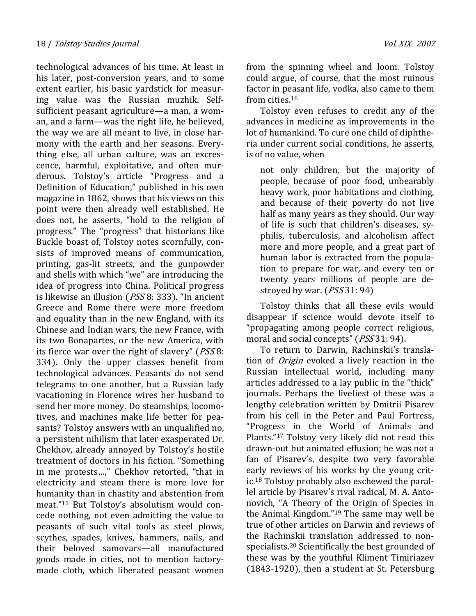technological advances of his time. At least in his later, post-conversion years, and to some extent earlier, his basic yardstick for measuring value was the Russian muzhik. Selfsufficient peasant agriculture—a man, a woman, and a farm—was the right life, he believed, the way we are all meant to live, in close harmony with the earth and her seasons. Everything else, all urban culture, was an excrescence, harmful, exploitative, and often murderous. Tolstoy's article "Progress and a Definition of Education," published in his own magazine in 1862, shows that his views on this point were then already well established. He does not, he asserts, "hold to the religion of progress." The "progress" that historians like Buckle boast of, Tolstoy notes scornfully, consists of improved means of communication, printing, gas-lit streets, and the gunpowder and shells with which "we" are introducing the idea of progress into China. Political progress is likewise an illusion (PSS 8: 333). "In ancient Greece and Rome there were more freedom and equality than in the new England, with its Chinese and Indian wars, the new France, with its two Bonapartes, or the new America, with its fierce war over the right of slavery" (PSS 8: 334). Only the upper classes benefit from technological advances. Peasants do not send telegrams to one another, but a Russian lady vacationing in Florence wires her husband to send her more money. Do steamships, locomotives, and machines make life better for peasants? Tolstoy answers with an unqualified no, a persistent nihilism that later exasperated Dr. Chekhov, already annoyed by Tolstoy's hostile treatment of doctors in his fiction. "Something in me protests…," Chekhov retorted, "that in electricity and steam there is more love for humanity than in chastity and abstention from meat."15 But Tolstoy's absolutism would concede nothing, not even admitting the value to peasants of such vital tools as steel plows, scythes, spades, knives, hammers, nails, and their beloved samovars—all manufactured goods made in cities, not to mention factorymade cloth, which liberated peasant women

from the spinning wheel and loom. Tolstoy could argue, of course, that the most ruinous factor in peasant life, vodka, also came to them from cities.<sup>16</sup>

Tolstoy even refuses to credit any of the advances in medicine as improvements in the lot of humankind. To cure one child of diphtheria under current social conditions, he asserts, is of no value, when

not only children, but the majority of people, because of poor food, unbearably heavy work, poor habitations and clothing, and because of their poverty do not live half as many years as they should. Our way of life is such that children's diseases, syphilis, tuberculosis, and alcoholism affect more and more people, and a great part of human labor is extracted from the population to prepare for war, and every ten or twenty years millions of people are destroyed by war. (PSS 31: 94)

Tolstoy thinks that all these evils would disappear if science would devote itself to "propagating among people correct religious, moral and social concepts" (*PSS* 31: 94).

To return to Darwin, Rachinskii's translation of Origin evoked a lively reaction in the Russian intellectual world, including many articles addressed to a lay public in the "thick" journals. Perhaps the liveliest of these was a lengthy celebration written by Dmitrii Pisarev from his cell in the Peter and Paul Fortress, "Progress in the World of Animals and Plants."17 Tolstoy very likely did not read this drawn-out but animated effusion; he was not a fan of Pisarev's, despite two very favorable early reviews of his works by the young critic.18 Tolstoy probably also eschewed the parallel article by Pisarev's rival radical, M. A. Antonovich, "A Theory of the Origin of Species in the Animal Kingdom."19 The same may well be true of other articles on Darwin and reviews of the Rachinskii translation addressed to nonspecialists.20 Scientifically the best grounded of these was by the youthful Kliment Timiriazev (1843-1920), then a student at St. Petersburg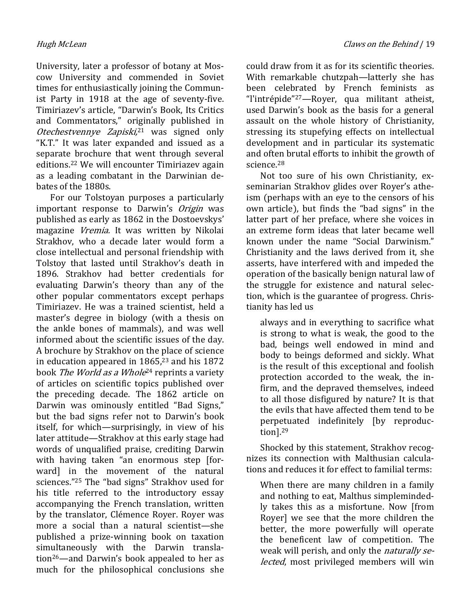University, later a professor of botany at Moscow University and commended in Soviet times for enthusiastically joining the Communist Party in 1918 at the age of seventy-five. Timiriazev's article, "Darwin's Book, Its Critics and Commentators," originally published in Otechestvennye Zapiski,<sup>21</sup> was signed only "K.T." It was later expanded and issued as a separate brochure that went through several editions.22 We will encounter Timiriazev again as a leading combatant in the Darwinian debates of the 1880s.

For our Tolstoyan purposes a particularly important response to Darwin's Origin was published as early as 1862 in the Dostoevskys' magazine Vremia. It was written by Nikolai Strakhov, who a decade later would form a close intellectual and personal friendship with Tolstoy that lasted until Strakhov's death in 1896. Strakhov had better credentials for evaluating Darwin's theory than any of the other popular commentators except perhaps Timiriazev. He was a trained scientist, held a master's degree in biology (with a thesis on the ankle bones of mammals), and was well informed about the scientific issues of the day. A brochure by Strakhov on the place of science in education appeared in  $1865$ ,<sup>23</sup> and his 1872 book *The World as a Whole*<sup>24</sup> reprints a variety of articles on scientific topics published over the preceding decade. The 1862 article on Darwin was ominously entitled "Bad Signs," but the bad signs refer not to Darwin's book itself, for which—surprisingly, in view of his later attitude—Strakhov at this early stage had words of unqualified praise, crediting Darwin with having taken "an enormous step [forward] in the movement of the natural sciences."25 The "bad signs" Strakhov used for his title referred to the introductory essay accompanying the French translation, written by the translator, Clémence Royer. Royer was more a social than a natural scientist—she published a prize-winning book on taxation simultaneously with the Darwin translation26—and Darwin's book appealed to her as much for the philosophical conclusions she

could draw from it as for its scientific theories. With remarkable chutzpah—latterly she has been celebrated by French feminists as "l'intrépide"27—Royer, qua militant atheist, used Darwin's book as the basis for a general assault on the whole history of Christianity, stressing its stupefying effects on intellectual development and in particular its systematic and often brutal efforts to inhibit the growth of science.<sup>28</sup>

Not too sure of his own Christianity, exseminarian Strakhov glides over Royer's atheism (perhaps with an eye to the censors of his own article), but finds the "bad signs" in the latter part of her preface, where she voices in an extreme form ideas that later became well known under the name "Social Darwinism." Christianity and the laws derived from it, she asserts, have interfered with and impeded the operation of the basically benign natural law of the struggle for existence and natural selection, which is the guarantee of progress. Christianity has led us

always and in everything to sacrifice what is strong to what is weak, the good to the bad, beings well endowed in mind and body to beings deformed and sickly. What is the result of this exceptional and foolish protection accorded to the weak, the infirm, and the depraved themselves, indeed to all those disfigured by nature? It is that the evils that have affected them tend to be perpetuated indefinitely [by reproduction].<sup>29</sup>

Shocked by this statement, Strakhov recognizes its connection with Malthusian calculations and reduces it for effect to familial terms:

When there are many children in a family and nothing to eat, Malthus simplemindedly takes this as a misfortune. Now [from Royer] we see that the more children the better, the more powerfully will operate the beneficent law of competition. The weak will perish, and only the *naturally se*lected, most privileged members will win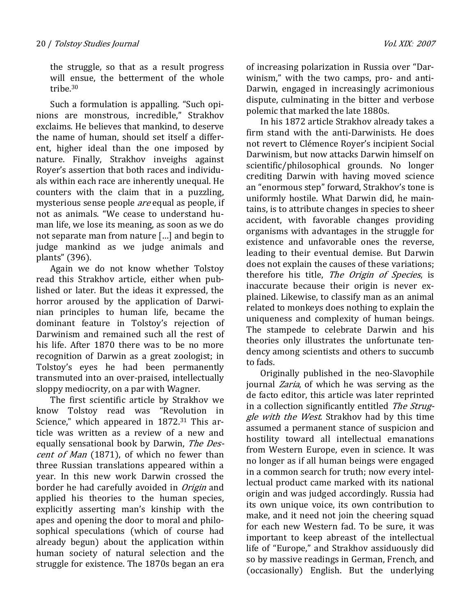the struggle, so that as a result progress will ensue, the betterment of the whole tribe.<sup>30</sup>

Such a formulation is appalling. "Such opinions are monstrous, incredible," Strakhov exclaims. He believes that mankind, to deserve the name of human, should set itself a different, higher ideal than the one imposed by nature. Finally, Strakhov inveighs against Royer's assertion that both races and individuals within each race are inherently unequal. He counters with the claim that in a puzzling, mysterious sense people are equal as people, if not as animals. "We cease to understand human life, we lose its meaning, as soon as we do not separate man from nature […] and begin to judge mankind as we judge animals and plants" (396).

Again we do not know whether Tolstoy read this Strakhov article, either when published or later. But the ideas it expressed, the horror aroused by the application of Darwinian principles to human life, became the dominant feature in Tolstoy's rejection of Darwinism and remained such all the rest of his life. After 1870 there was to be no more recognition of Darwin as a great zoologist; in Tolstoy's eyes he had been permanently transmuted into an over-praised, intellectually sloppy mediocrity, on a par with Wagner.

The first scientific article by Strakhov we know Tolstoy read was "Revolution in Science," which appeared in 1872.<sup>31</sup> This article was written as a review of a new and equally sensational book by Darwin, The Descent of Man (1871), of which no fewer than three Russian translations appeared within a year. In this new work Darwin crossed the border he had carefully avoided in *Origin* and applied his theories to the human species, explicitly asserting man's kinship with the apes and opening the door to moral and philosophical speculations (which of course had already begun) about the application within human society of natural selection and the struggle for existence. The 1870s began an era

of increasing polarization in Russia over "Darwinism," with the two camps, pro- and anti-Darwin, engaged in increasingly acrimonious dispute, culminating in the bitter and verbose polemic that marked the late 1880s.

In his 1872 article Strakhov already takes a firm stand with the anti-Darwinists. He does not revert to Clémence Royer's incipient Social Darwinism, but now attacks Darwin himself on scientific/philosophical grounds. No longer crediting Darwin with having moved science an "enormous step" forward, Strakhov's tone is uniformly hostile. What Darwin did, he maintains, is to attribute changes in species to sheer accident, with favorable changes providing organisms with advantages in the struggle for existence and unfavorable ones the reverse, leading to their eventual demise. But Darwin does not explain the causes of these variations; therefore his title, The Origin of Species, is inaccurate because their origin is never explained. Likewise, to classify man as an animal related to monkeys does nothing to explain the uniqueness and complexity of human beings. The stampede to celebrate Darwin and his theories only illustrates the unfortunate tendency among scientists and others to succumb to fads.

Originally published in the neo-Slavophile journal Zaria, of which he was serving as the de facto editor, this article was later reprinted in a collection significantly entitled The Struggle with the West. Strakhov had by this time assumed a permanent stance of suspicion and hostility toward all intellectual emanations from Western Europe, even in science. It was no longer as if all human beings were engaged in a common search for truth; now every intellectual product came marked with its national origin and was judged accordingly. Russia had its own unique voice, its own contribution to make, and it need not join the cheering squad for each new Western fad. To be sure, it was important to keep abreast of the intellectual life of "Europe," and Strakhov assiduously did so by massive readings in German, French, and (occasionally) English. But the underlying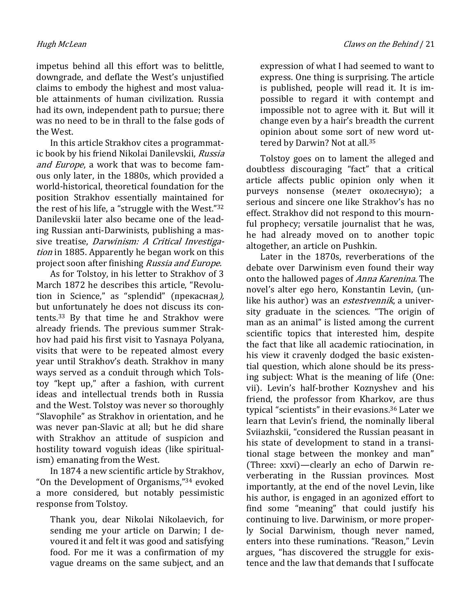impetus behind all this effort was to belittle, downgrade, and deflate the West's unjustified claims to embody the highest and most valuable attainments of human civilization. Russia had its own, independent path to pursue; there was no need to be in thrall to the false gods of the West.

In this article Strakhov cites a programmatic book by his friend Nikolai Danilevskii, Russia and Europe, a work that was to become famous only later, in the 1880s, which provided a world-historical, theoretical foundation for the position Strakhov essentially maintained for the rest of his life, a "struggle with the West."<sup>32</sup> Danilevskii later also became one of the leading Russian anti-Darwinists, publishing a massive treatise, Darwinism: A Critical Investigation in 1885. Apparently he began work on this project soon after finishing Russia and Europe.

As for Tolstoy, in his letter to Strakhov of 3 March 1872 he describes this article, "Revolution in Science," as "splendid" (прекасная), but unfortunately he does not discuss its contents.33 By that time he and Strakhov were already friends. The previous summer Strakhov had paid his first visit to Yasnaya Polyana, visits that were to be repeated almost every year until Strakhov's death. Strakhov in many ways served as a conduit through which Tolstoy "kept up," after a fashion, with current ideas and intellectual trends both in Russia and the West. Tolstoy was never so thoroughly "Slavophile" as Strakhov in orientation, and he was never pan-Slavic at all; but he did share with Strakhov an attitude of suspicion and hostility toward voguish ideas (like spiritualism) emanating from the West.

In 1874 a new scientific article by Strakhov, "On the Development of Organisms,"34 evoked a more considered, but notably pessimistic response from Tolstoy.

Thank you, dear Nikolai Nikolaevich, for sending me your article on Darwin; I devoured it and felt it was good and satisfying food. For me it was a confirmation of my vague dreams on the same subject, and an expression of what I had seemed to want to express. One thing is surprising. The article is published, people will read it. It is impossible to regard it with contempt and impossible not to agree with it. But will it change even by a hair's breadth the current opinion about some sort of new word uttered by Darwin? Not at all.<sup>35</sup>

Tolstoy goes on to lament the alleged and doubtless discouraging "fact" that a critical article affects public opinion only when it purveys nonsense (мелет околесную); a serious and sincere one like Strakhov's has no effect. Strakhov did not respond to this mournful prophecy; versatile journalist that he was, he had already moved on to another topic altogether, an article on Pushkin.

Later in the 1870s, reverberations of the debate over Darwinism even found their way onto the hallowed pages of Anna Karenina. The novel's alter ego hero, Konstantin Levin, (unlike his author) was an *estestvennik*, a university graduate in the sciences. "The origin of man as an animal" is listed among the current scientific topics that interested him, despite the fact that like all academic ratiocination, in his view it cravenly dodged the basic existential question, which alone should be its pressing subject: What is the meaning of life (One: vii). Levin's half-brother Koznyshev and his friend, the professor from Kharkov, are thus typical "scientists" in their evasions.36 Later we learn that Levin's friend, the nominally liberal Sviiazhskii, "considered the Russian peasant in his state of development to stand in a transitional stage between the monkey and man" (Three: xxvi)—clearly an echo of Darwin reverberating in the Russian provinces. Most importantly, at the end of the novel Levin, like his author, is engaged in an agonized effort to find some "meaning" that could justify his continuing to live. Darwinism, or more properly Social Darwinism, though never named, enters into these ruminations. "Reason," Levin argues, "has discovered the struggle for existence and the law that demands that I suffocate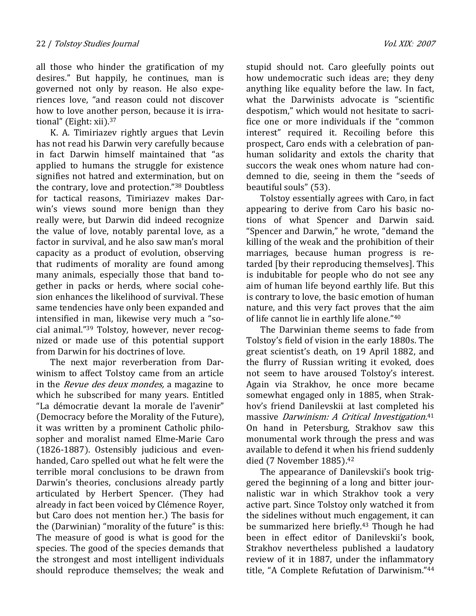all those who hinder the gratification of my desires." But happily, he continues, man is governed not only by reason. He also experiences love, "and reason could not discover how to love another person, because it is irrational" (Eight: xii).<sup>37</sup>

K. A. Timiriazev rightly argues that Levin has not read his Darwin very carefully because in fact Darwin himself maintained that "as applied to humans the struggle for existence signifies not hatred and extermination, but on the contrary, love and protection."38 Doubtless for tactical reasons, Timiriazev makes Darwin's views sound more benign than they really were, but Darwin did indeed recognize the value of love, notably parental love, as a factor in survival, and he also saw man's moral capacity as a product of evolution, observing that rudiments of morality are found among many animals, especially those that band together in packs or herds, where social cohesion enhances the likelihood of survival. These same tendencies have only been expanded and intensified in man, likewise very much a "social animal."39 Tolstoy, however, never recognized or made use of this potential support from Darwin for his doctrines of love.

The next major reverberation from Darwinism to affect Tolstoy came from an article in the Revue des deux mondes, a magazine to which he subscribed for many years. Entitled "La démocratie devant la morale de l'avenir" (Democracy before the Morality of the Future), it was written by a prominent Catholic philosopher and moralist named Elme-Marie Caro (1826-1887). Ostensibly judicious and evenhanded, Caro spelled out what he felt were the terrible moral conclusions to be drawn from Darwin's theories, conclusions already partly articulated by Herbert Spencer. (They had already in fact been voiced by Clémence Royer, but Caro does not mention her.) The basis for the (Darwinian) "morality of the future" is this: The measure of good is what is good for the species. The good of the species demands that the strongest and most intelligent individuals should reproduce themselves; the weak and

stupid should not. Caro gleefully points out how undemocratic such ideas are; they deny anything like equality before the law. In fact, what the Darwinists advocate is "scientific despotism," which would not hesitate to sacrifice one or more individuals if the "common interest" required it. Recoiling before this prospect, Caro ends with a celebration of panhuman solidarity and extols the charity that succors the weak ones whom nature had condemned to die, seeing in them the "seeds of beautiful souls" (53).

Tolstoy essentially agrees with Caro, in fact appearing to derive from Caro his basic notions of what Spencer and Darwin said. "Spencer and Darwin," he wrote, "demand the killing of the weak and the prohibition of their marriages, because human progress is retarded [by their reproducing themselves]. This is indubitable for people who do not see any aim of human life beyond earthly life. But this is contrary to love, the basic emotion of human nature, and this very fact proves that the aim of life cannot lie in earthly life alone."<sup>40</sup>

The Darwinian theme seems to fade from Tolstoy's field of vision in the early 1880s. The great scientist's death, on 19 April 1882, and the flurry of Russian writing it evoked, does not seem to have aroused Tolstoy's interest. Again via Strakhov, he once more became somewhat engaged only in 1885, when Strakhov's friend Danilevskii at last completed his massive *Darwinism: A Critical Investigation.*<sup>41</sup> On hand in Petersburg, Strakhov saw this monumental work through the press and was available to defend it when his friend suddenly died (7 November 1885).<sup>42</sup>

The appearance of Danilevskii's book triggered the beginning of a long and bitter journalistic war in which Strakhov took a very active part. Since Tolstoy only watched it from the sidelines without much engagement, it can be summarized here briefly.43 Though he had been in effect editor of Danilevskii's book, Strakhov nevertheless published a laudatory review of it in 1887, under the inflammatory title, "A Complete Refutation of Darwinism."44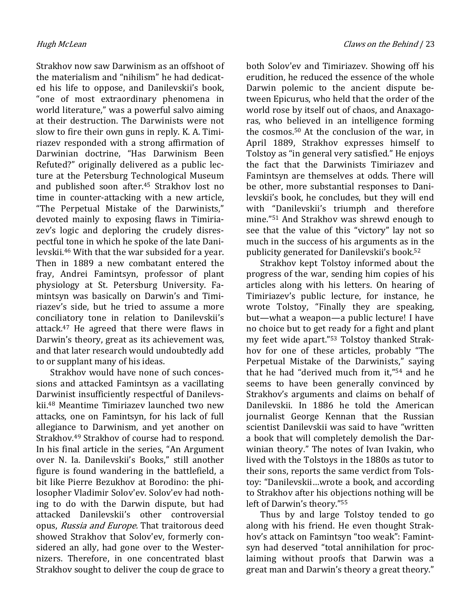Strakhov now saw Darwinism as an offshoot of the materialism and "nihilism" he had dedicated his life to oppose, and Danilevskii's book, "one of most extraordinary phenomena in world literature," was a powerful salvo aiming at their destruction. The Darwinists were not slow to fire their own guns in reply. K. A. Timiriazev responded with a strong affirmation of Darwinian doctrine, "Has Darwinism Been Refuted?" originally delivered as a public lecture at the Petersburg Technological Museum and published soon after.45 Strakhov lost no time in counter-attacking with a new article, "The Perpetual Mistake of the Darwinists," devoted mainly to exposing flaws in Timiriazev's logic and deploring the crudely disrespectful tone in which he spoke of the late Danilevskii.46 With that the war subsided for a year. Then in 1889 a new combatant entered the fray, Andrei Famintsyn, professor of plant physiology at St. Petersburg University. Famintsyn was basically on Darwin's and Timiriazev's side, but he tried to assume a more conciliatory tone in relation to Danilevskii's attack.47 He agreed that there were flaws in Darwin's theory, great as its achievement was, and that later research would undoubtedly add to or supplant many of his ideas.

Strakhov would have none of such concessions and attacked Famintsyn as a vacillating Darwinist insufficiently respectful of Danilevskii.48 Meantime Timiriazev launched two new attacks, one on Famintsyn, for his lack of full allegiance to Darwinism, and yet another on Strakhov.49 Strakhov of course had to respond. In his final article in the series, "An Argument over N. Ia. Danilevskii's Books," still another figure is found wandering in the battlefield, a bit like Pierre Bezukhov at Borodino: the philosopher Vladimir Solov'ev. Solov'ev had nothing to do with the Darwin dispute, but had attacked Danilevskii's other controversial opus, Russia and Europe. That traitorous deed showed Strakhov that Solov'ev, formerly considered an ally, had gone over to the Westernizers. Therefore, in one concentrated blast Strakhov sought to deliver the coup de grace to

both Solov'ev and Timiriazev. Showing off his erudition, he reduced the essence of the whole Darwin polemic to the ancient dispute between Epicurus, who held that the order of the world rose by itself out of chaos, and Anaxagoras, who believed in an intelligence forming the cosmos.50 At the conclusion of the war, in April 1889, Strakhov expresses himself to Tolstoy as "in general very satisfied." He enjoys the fact that the Darwinists Timiriazev and Famintsyn are themselves at odds. There will be other, more substantial responses to Danilevskii's book, he concludes, but they will end with "Danilevskii's triumph and therefore mine."51 And Strakhov was shrewd enough to see that the value of this "victory" lay not so much in the success of his arguments as in the publicity generated for Danilevskii's book.<sup>52</sup>

Strakhov kept Tolstoy informed about the progress of the war, sending him copies of his articles along with his letters. On hearing of Timiriazev's public lecture, for instance, he wrote Tolstoy, "Finally they are speaking, but—what a weapon—a public lecture! I have no choice but to get ready for a fight and plant my feet wide apart."53 Tolstoy thanked Strakhov for one of these articles, probably "The Perpetual Mistake of the Darwinists," saying that he had "derived much from it,"54 and he seems to have been generally convinced by Strakhov's arguments and claims on behalf of Danilevskii. In 1886 he told the American journalist George Kennan that the Russian scientist Danilevskii was said to have "written a book that will completely demolish the Darwinian theory." The notes of Ivan Ivakin, who lived with the Tolstoys in the 1880s as tutor to their sons, reports the same verdict from Tolstoy: "Danilevskii…wrote a book, and according to Strakhov after his objections nothing will be left of Darwin's theory."<sup>55</sup>

Thus by and large Tolstoy tended to go along with his friend. He even thought Strakhov's attack on Famintsyn "too weak": Famintsyn had deserved "total annihilation for proclaiming without proofs that Darwin was a great man and Darwin's theory a great theory."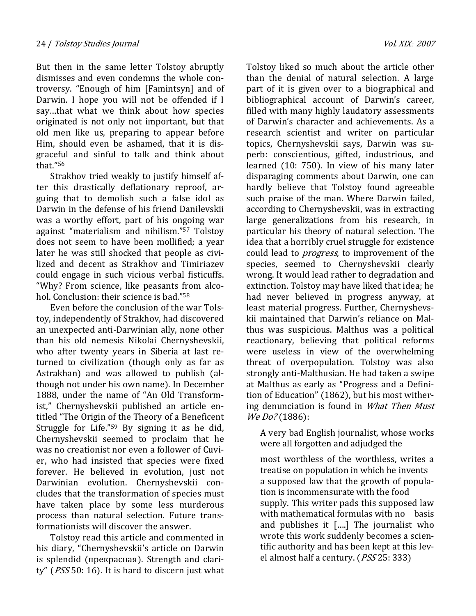But then in the same letter Tolstoy abruptly dismisses and even condemns the whole controversy. "Enough of him [Famintsyn] and of Darwin. I hope you will not be offended if I say…that what we think about how species originated is not only not important, but that old men like us, preparing to appear before Him, should even be ashamed, that it is disgraceful and sinful to talk and think about that."<sup>56</sup>

Strakhov tried weakly to justify himself after this drastically deflationary reproof, arguing that to demolish such a false idol as Darwin in the defense of his friend Danilevskii was a worthy effort, part of his ongoing war against "materialism and nihilism."57 Tolstoy does not seem to have been mollified; a year later he was still shocked that people as civilized and decent as Strakhov and Timiriazev could engage in such vicious verbal fisticuffs. "Why? From science, like peasants from alcohol. Conclusion: their science is bad."<sup>58</sup>

Even before the conclusion of the war Tolstoy, independently of Strakhov, had discovered an unexpected anti-Darwinian ally, none other than his old nemesis Nikolai Chernyshevskii, who after twenty years in Siberia at last returned to civilization (though only as far as Astrakhan) and was allowed to publish (although not under his own name). In December 1888, under the name of "An Old Transformist," Chernyshevskii published an article entitled "The Origin of the Theory of a Beneficent Struggle for Life."59 By signing it as he did, Chernyshevskii seemed to proclaim that he was no creationist nor even a follower of Cuvier, who had insisted that species were fixed forever. He believed in evolution, just not Darwinian evolution. Chernyshevskii concludes that the transformation of species must have taken place by some less murderous process than natural selection. Future transformationists will discover the answer.

Tolstoy read this article and commented in his diary, "Chernyshevskii's article on Darwin is splendid (прекрасная). Strength and clarity" ( $PSS$ 50: 16). It is hard to discern just what

Tolstoy liked so much about the article other than the denial of natural selection. A large part of it is given over to a biographical and bibliographical account of Darwin's career, filled with many highly laudatory assessments of Darwin's character and achievements. As a research scientist and writer on particular topics, Chernyshevskii says, Darwin was superb: conscientious, gifted, industrious, and learned (10: 750). In view of his many later disparaging comments about Darwin, one can hardly believe that Tolstoy found agreeable such praise of the man. Where Darwin failed, according to Chernyshevskii, was in extracting large generalizations from his research, in particular his theory of natural selection. The idea that a horribly cruel struggle for existence could lead to progress, to improvement of the species, seemed to Chernyshevskii clearly wrong. It would lead rather to degradation and extinction. Tolstoy may have liked that idea; he had never believed in progress anyway, at least material progress. Further, Chernyshevskii maintained that Darwin's reliance on Malthus was suspicious. Malthus was a political reactionary, believing that political reforms were useless in view of the overwhelming threat of overpopulation. Tolstoy was also strongly anti-Malthusian. He had taken a swipe at Malthus as early as "Progress and a Definition of Education" (1862), but his most withering denunciation is found in What Then Must We Do? (1886):

A very bad English journalist, whose works were all forgotten and adjudged the

most worthless of the worthless, writes a treatise on population in which he invents a supposed law that the growth of population is incommensurate with the food supply. This writer pads this supposed law with mathematical formulas with no basis and publishes it [….] The journalist who wrote this work suddenly becomes a scientific authority and has been kept at this level almost half a century. (PSS 25: 333)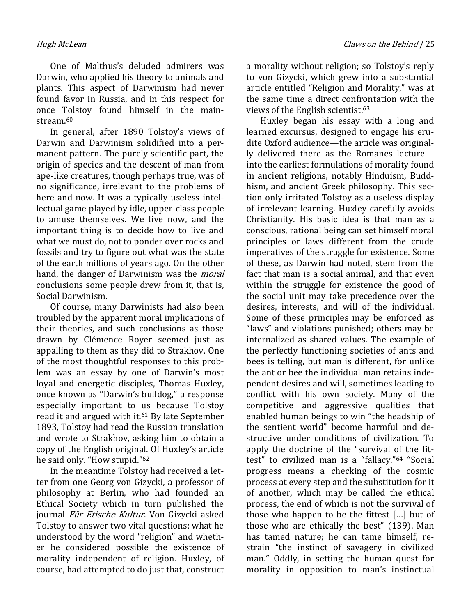One of Malthus's deluded admirers was Darwin, who applied his theory to animals and plants. This aspect of Darwinism had never found favor in Russia, and in this respect for once Tolstoy found himself in the mainstream.<sup>60</sup>

In general, after 1890 Tolstoy's views of Darwin and Darwinism solidified into a permanent pattern. The purely scientific part, the origin of species and the descent of man from ape-like creatures, though perhaps true, was of no significance, irrelevant to the problems of here and now. It was a typically useless intellectual game played by idle, upper-class people to amuse themselves. We live now, and the important thing is to decide how to live and what we must do, not to ponder over rocks and fossils and try to figure out what was the state of the earth millions of years ago. On the other hand, the danger of Darwinism was the *moral* conclusions some people drew from it, that is, Social Darwinism.

Of course, many Darwinists had also been troubled by the apparent moral implications of their theories, and such conclusions as those drawn by Clémence Royer seemed just as appalling to them as they did to Strakhov. One of the most thoughtful responses to this problem was an essay by one of Darwin's most loyal and energetic disciples, Thomas Huxley, once known as "Darwin's bulldog," a response especially important to us because Tolstoy read it and argued with it.<sup>61</sup> By late September 1893, Tolstoy had read the Russian translation and wrote to Strakhov, asking him to obtain a copy of the English original. Of Huxley's article he said only. "How stupid."<sup>62</sup>

In the meantime Tolstoy had received a letter from one Georg von Gizycki, a professor of philosophy at Berlin, who had founded an Ethical Society which in turn published the journal Für Etische Kultur. Von Gizycki asked Tolstoy to answer two vital questions: what he understood by the word "religion" and whether he considered possible the existence of morality independent of religion. Huxley, of course, had attempted to do just that, construct

a morality without religion; so Tolstoy's reply to von Gizycki, which grew into a substantial article entitled "Religion and Morality," was at the same time a direct confrontation with the views of the English scientist.<sup>63</sup>

Huxley began his essay with a long and learned excursus, designed to engage his erudite Oxford audience—the article was originally delivered there as the Romanes lecture into the earliest formulations of morality found in ancient religions, notably Hinduism, Buddhism, and ancient Greek philosophy. This section only irritated Tolstoy as a useless display of irrelevant learning. Huxley carefully avoids Christianity. His basic idea is that man as a conscious, rational being can set himself moral principles or laws different from the crude imperatives of the struggle for existence. Some of these, as Darwin had noted, stem from the fact that man is a social animal, and that even within the struggle for existence the good of the social unit may take precedence over the desires, interests, and will of the individual. Some of these principles may be enforced as "laws" and violations punished; others may be internalized as shared values. The example of the perfectly functioning societies of ants and bees is telling, but man is different, for unlike the ant or bee the individual man retains independent desires and will, sometimes leading to conflict with his own society. Many of the competitive and aggressive qualities that enabled human beings to win "the headship of the sentient world" become harmful and destructive under conditions of civilization. To apply the doctrine of the "survival of the fittest" to civilized man is a "fallacy."64 "Social progress means a checking of the cosmic process at every step and the substitution for it of another, which may be called the ethical process, the end of which is not the survival of those who happen to be the fittest […] but of those who are ethically the best" (139). Man has tamed nature; he can tame himself, restrain "the instinct of savagery in civilized man." Oddly, in setting the human quest for morality in opposition to man's instinctual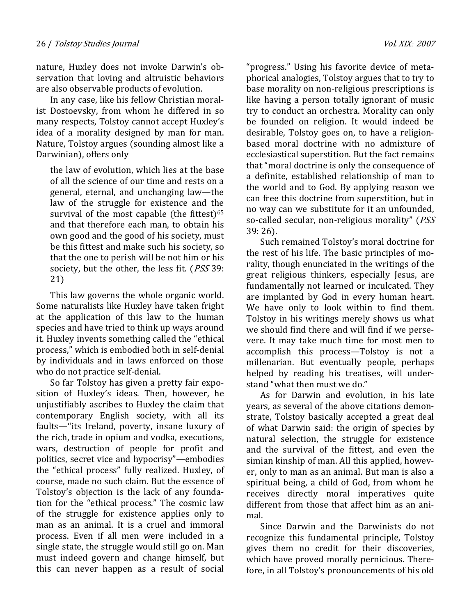nature, Huxley does not invoke Darwin's observation that loving and altruistic behaviors are also observable products of evolution.

In any case, like his fellow Christian moralist Dostoevsky, from whom he differed in so many respects, Tolstoy cannot accept Huxley's idea of a morality designed by man for man. Nature, Tolstoy argues (sounding almost like a Darwinian), offers only

the law of evolution, which lies at the base of all the science of our time and rests on a general, eternal, and unchanging law—the law of the struggle for existence and the survival of the most capable (the fittest) $65$ and that therefore each man, to obtain his own good and the good of his society, must be this fittest and make such his society, so that the one to perish will be not him or his society, but the other, the less fit. (*PSS* 39: 21)

This law governs the whole organic world. Some naturalists like Huxley have taken fright at the application of this law to the human species and have tried to think up ways around it. Huxley invents something called the "ethical process," which is embodied both in self-denial by individuals and in laws enforced on those who do not practice self-denial.

So far Tolstoy has given a pretty fair exposition of Huxley's ideas. Then, however, he unjustifiably ascribes to Huxley the claim that contemporary English society, with all its faults—"its Ireland, poverty, insane luxury of the rich, trade in opium and vodka, executions, wars, destruction of people for profit and politics, secret vice and hypocrisy"—embodies the "ethical process" fully realized. Huxley, of course, made no such claim. But the essence of Tolstoy's objection is the lack of any foundation for the "ethical process." The cosmic law of the struggle for existence applies only to man as an animal. It is a cruel and immoral process. Even if all men were included in a single state, the struggle would still go on. Man must indeed govern and change himself, but this can never happen as a result of social

"progress." Using his favorite device of metaphorical analogies, Tolstoy argues that to try to base morality on non-religious prescriptions is like having a person totally ignorant of music try to conduct an orchestra. Morality can only be founded on religion. It would indeed be desirable, Tolstoy goes on, to have a religionbased moral doctrine with no admixture of ecclesiastical superstition. But the fact remains that "moral doctrine is only the consequence of a definite, established relationship of man to the world and to God. By applying reason we can free this doctrine from superstition, but in no way can we substitute for it an unfounded, so-called secular, non-religious morality" (PSS 39: 26).

Such remained Tolstoy's moral doctrine for the rest of his life. The basic principles of morality, though enunciated in the writings of the great religious thinkers, especially Jesus, are fundamentally not learned or inculcated. They are implanted by God in every human heart. We have only to look within to find them. Tolstoy in his writings merely shows us what we should find there and will find if we persevere. It may take much time for most men to accomplish this process—Tolstoy is not a millenarian. But eventually people, perhaps helped by reading his treatises, will understand "what then must we do."

As for Darwin and evolution, in his late years, as several of the above citations demonstrate, Tolstoy basically accepted a great deal of what Darwin said: the origin of species by natural selection, the struggle for existence and the survival of the fittest, and even the simian kinship of man. All this applied, however, only to man as an animal. But man is also a spiritual being, a child of God, from whom he receives directly moral imperatives quite different from those that affect him as an animal.

Since Darwin and the Darwinists do not recognize this fundamental principle, Tolstoy gives them no credit for their discoveries, which have proved morally pernicious. Therefore, in all Tolstoy's pronouncements of his old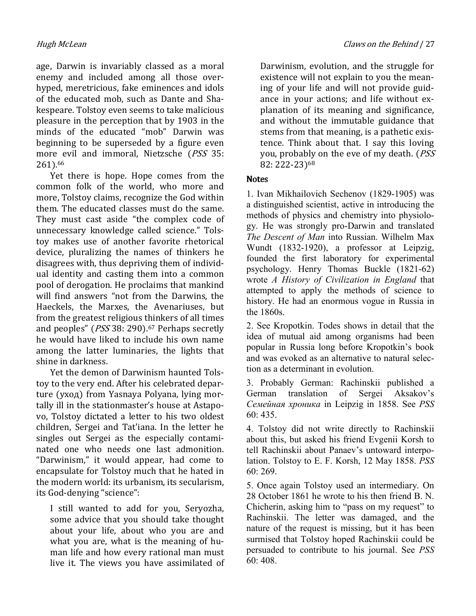age, Darwin is invariably classed as a moral enemy and included among all those overhyped, meretricious, fake eminences and idols of the educated mob, such as Dante and Shakespeare. Tolstoy even seems to take malicious pleasure in the perception that by 1903 in the minds of the educated "mob" Darwin was beginning to be superseded by a figure even more evil and immoral, Nietzsche (PSS 35: 261).<sup>66</sup>

Yet there is hope. Hope comes from the common folk of the world, who more and more, Tolstoy claims, recognize the God within them. The educated classes must do the same. They must cast aside "the complex code of unnecessary knowledge called science." Tolstoy makes use of another favorite rhetorical device, pluralizing the names of thinkers he disagrees with, thus depriving them of individual identity and casting them into a common pool of derogation. He proclaims that mankind will find answers "not from the Darwins, the Haeckels, the Marxes, the Avenariuses, but from the greatest religious thinkers of all times and peoples" (PSS 38: 290).<sup>67</sup> Perhaps secretly he would have liked to include his own name among the latter luminaries, the lights that shine in darkness.

Yet the demon of Darwinism haunted Tolstoy to the very end. After his celebrated departure (уход) from Yasnaya Polyana, lying mortally ill in the stationmaster's house at Astapovo, Tolstoy dictated a letter to his two oldest children, Sergei and Tat'iana. In the letter he singles out Sergei as the especially contaminated one who needs one last admonition. "Darwinism," it would appear, had come to encapsulate for Tolstoy much that he hated in the modern world: its urbanism, its secularism, its God-denying "science":

I still wanted to add for you, Seryozha, some advice that you should take thought about your life, about who you are and what you are, what is the meaning of human life and how every rational man must live it. The views you have assimilated of Darwinism, evolution, and the struggle for existence will not explain to you the meaning of your life and will not provide guidance in your actions; and life without explanation of its meaning and significance, and without the immutable guidance that stems from that meaning, is a pathetic existence. Think about that. I say this loving you, probably on the eve of my death. (PSS 82: 222-23)<sup>68</sup>

## **Notes**

1. Ivan Mikhailovich Sechenov (1829-1905) was a distinguished scientist, active in introducing the methods of physics and chemistry into physiology. He was strongly pro-Darwin and translated The Descent of Man into Russian. Wilhelm Max Wundt (1832-1920), a professor at Leipzig, founded the first laboratory for experimental psychology. Henry Thomas Buckle (1821-62) wrote A History of Civilization in England that attempted to apply the methods of science to history. He had an enormous vogue in Russia in the 1860s.

2. See Kropotkin. Todes shows in detail that the idea of mutual aid among organisms had been popular in Russia long before Kropotkin's book and was evoked as an alternative to natural selection as a determinant in evolution.

3. Probably German: Rachinskii published a German translation of Sergei Aksakov's Семейная хроника in Leipzig in 1858. See PSS 60: 435.

4. Tolstoy did not write directly to Rachinskii about this, but asked his friend Evgenii Korsh to tell Rachinskii about Panaev's untoward interpolation. Tolstoy to E. F. Korsh, 12 May 1858. PSS 60: 269.

5. Once again Tolstoy used an intermediary. On 28 October 1861 he wrote to his then friend B. N. Chicherin, asking him to "pass on my request" to Rachinskii. The letter was damaged, and the nature of the request is missing, but it has been surmised that Tolstoy hoped Rachinskii could be persuaded to contribute to his journal. See PSS 60: 408.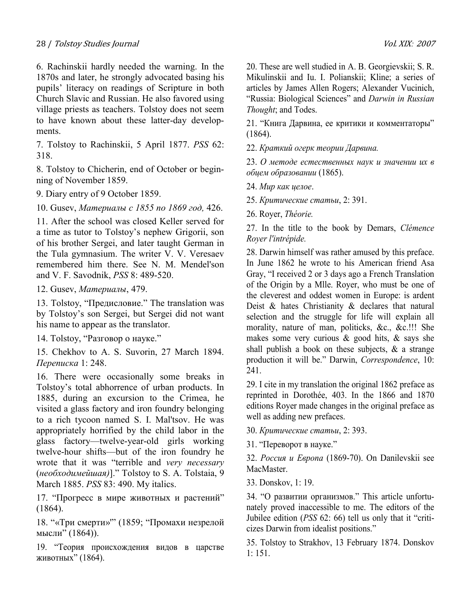### 28 / Tolstoy Studies Journal Vol. XIX: <sup>2007</sup>

6. Rachinskii hardly needed the warning. In the 1870s and later, he strongly advocated basing his pupils' literacy on readings of Scripture in both Church Slavic and Russian. He also favored using village priests as teachers. Tolstoy does not seem to have known about these latter-day developments.

7. Tolstoy to Rachinskii, 5 April 1877. PSS 62: 318.

8. Tolstoy to Chicherin, end of October or beginning of November 1859.

9. Diary entry of 9 October 1859.

10. Gusev, Материалы с 1855 по 1869 год, 426.

11. After the school was closed Keller served for a time as tutor to Tolstoy's nephew Grigorii, son of his brother Sergei, and later taught German in the Tula gymnasium. The writer V. V. Veresaev remembered him there. See N. M. Mendel'son and V. F. Savodnik, PSS 8: 489-520.

12. Gusev, Материалы, 479.

13. Tolstoy, "Предисловие." The translation was by Tolstoy's son Sergei, but Sergei did not want his name to appear as the translator.

14. Tolstoy, "Разговор о науке."

15. Chekhov to A. S. Suvorin, 27 March 1894. Переписка 1: 248.

16. There were occasionally some breaks in Tolstoy's total abhorrence of urban products. In 1885, during an excursion to the Crimea, he visited a glass factory and iron foundry belonging to a rich tycoon named S. I. Mal'tsov. He was appropriately horrified by the child labor in the glass factory—twelve-year-old girls working twelve-hour shifts—but of the iron foundry he wrote that it was "terrible and very necessary (необходимейшая)]." Tolstoy to S. A. Tolstaia, 9 March 1885. PSS 83: 490. My italics.

17. "Прогресс в мире животных и растений" (1864).

18. "«Три смерти»'" (1859; "Промахи незрелой мысли" (1864)).

19. "Теория происхождения видов в царстве животных" (1864).

20. These are well studied in A. B. Georgievskii; S. R. Mikulinskii and Iu. I. Polianskii; Kline; a series of articles by James Allen Rogers; Alexander Vucinich, "Russia: Biological Sciences" and Darwin in Russian Thought; and Todes.

21. "Книга Дарвина, ее критики и комментаторы" (1864).

22. Краткий огерк теории Дарвина.

23. О методе естественных наук и значении их в обцем образовании (1865).

24. Мир как целое.

25. Критические статьи, 2: 391.

26. Royer, Théorie.

27. In the title to the book by Demars, Clémence Royer l'intrépide.

28. Darwin himself was rather amused by this preface. In June 1862 he wrote to his American friend Asa Gray, "I received 2 or 3 days ago a French Translation of the Origin by a Mlle. Royer, who must be one of the cleverest and oddest women in Europe: is ardent Deist & hates Christianity & declares that natural selection and the struggle for life will explain all morality, nature of man, politicks, &c., &c.!!! She makes some very curious  $\&$  good hits,  $\&$  says she shall publish a book on these subjects,  $\&$  a strange production it will be." Darwin, Correspondence, 10: 241.

29. I cite in my translation the original 1862 preface as reprinted in Dorothée, 403. In the 1866 and 1870 editions Royer made changes in the original preface as well as adding new prefaces.

30. Критические статьи, 2: 393.

31. "Переворот в науке."

32. Россия и Европа (1869-70). On Danilevskii see MacMaster.

33. Donskov, 1: 19.

34. "О развитии организмов." This article unfortunately proved inaccessible to me. The editors of the Jubilee edition (PSS 62: 66) tell us only that it "criticizes Darwin from idealist positions."

35. Tolstoy to Strakhov, 13 February 1874. Donskov 1: 151.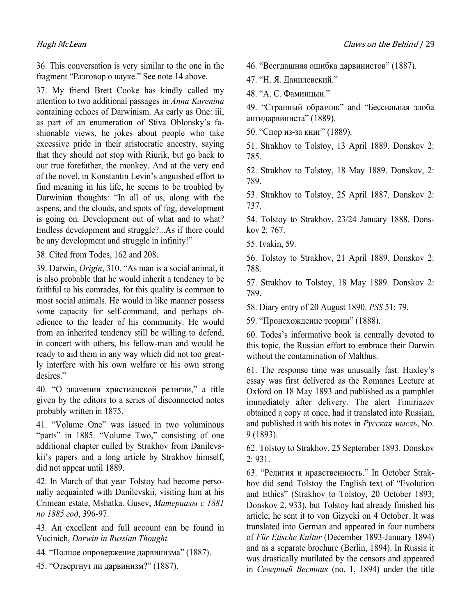36. This conversation is very similar to the one in the fragment "Разговор о науке." See note 14 above.

37. My friend Brett Cooke has kindly called my attention to two additional passages in Anna Karenina containing echoes of Darwinism. As early as One: iii, as part of an enumeration of Stiva Oblonsky's fashionable views, he jokes about people who take excessive pride in their aristocratic ancestry, saying that they should not stop with Riurik, but go back to our true forefather, the monkey. And at the very end of the novel, in Konstantin Levin's anguished effort to find meaning in his life, he seems to be troubled by Darwinian thoughts: "In all of us, along with the aspens, and the clouds, and spots of fog, development is going on. Development out of what and to what? Endless development and struggle?...As if there could be any development and struggle in infinity!"

38. Cited from Todes, 162 and 208.

39. Darwin, Origin, 310. "As man is a social animal, it is also probable that he would inherit a tendency to be faithful to his comrades, for this quality is common to most social animals. He would in like manner possess some capacity for self-command, and perhaps obedience to the leader of his community. He would from an inherited tendency still be willing to defend, in concert with others, his fellow-man and would be ready to aid them in any way which did not too greatly interfere with his own welfare or his own strong desires."

40. "О значении христианской религии," a title given by the editors to a series of disconnected notes probably written in 1875.

41. "Volume One" was issued in two voluminous "parts" in 1885. "Volume Two," consisting of one additional chapter culled by Strakhov from Danilevskii's papers and a long article by Strakhov himself, did not appear until 1889.

42. In March of that year Tolstoy had become personally acquainted with Danilevskii, visiting him at his Crimean estate, Mshatka. Gusev, Материалы с 1881 по 1885 год, 396-97.

43. An excellent and full account can be found in Vucinich, Darwin in Russian Thought.

- 44. "Полное опровержение дарвинизма" (1887).
- 45. "Отвергнут ли дарвинизм?" (1887).

46. "Всегдашняя ошибка дарвинистов" (1887).

47. "Н. Я. Данилевский."

48. "А. С. Фаминцын."

49. "Странный образчик" аnd "Бессильная злоба антидарвиниста" (1889).

50. "Спор из-за книг" (1889).

51. Strakhov to Tolstoy, 13 April 1889. Donskov 2: 785.

52. Strakhov to Tolstoy, 18 May 1889. Donskov, 2: 789.

53. Strakhov to Tolstoy, 25 April 1887. Donskov 2: 737.

54. Tolstoy to Strakhov, 23/24 January 1888. Donskov 2: 767.

55. Ivakin, 59.

56. Tolstoy to Strakhov, 21 April 1889. Donskov 2: 788.

57. Strakhov to Tolstoy, 18 May 1889. Donskov 2: 789.

58. Diary entry of 20 August 1890. PSS 51: 79.

59. "Происхождение теории" (1888).

60. Todes's informative book is centrally devoted to this topic, the Russian effort to embrace their Darwin without the contamination of Malthus.

61. The response time was unusually fast. Huxley's essay was first delivered as the Romanes Lecture at Oxford on 18 May 1893 and published as a pamphlet immediately after delivery. The alert Timiriazev obtained a copy at once, had it translated into Russian, and published it with his notes in Русская мысль, No. 9 (1893).

62. Tolstoy to Strakhov, 25 September 1893. Donskov 2: 931.

63. "Религия и нравственность." In October Strakhov did send Tolstoy the English text of "Evolution and Ethics" (Strakhov to Tolstoy, 20 October 1893; Donskov 2, 933), but Tolstoy had already finished his article; he sent it to von Gizycki on 4 October. It was translated into German and appeared in four numbers of Für Etische Kultur (December 1893-January 1894) and as a separate brochure (Berlin, 1894). In Russia it was drastically mutilated by the censors and appeared in Северный Вестник (no. 1, 1894) under the title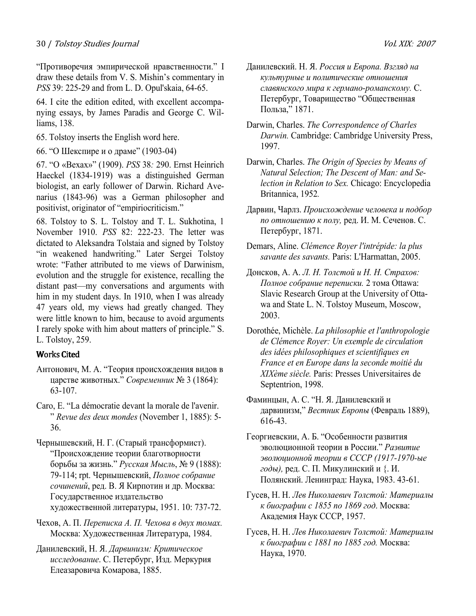"Противоречия эмпирической нравственности." I draw these details from V. S. Mishin's commentary in PSS 39: 225-29 and from L. D. Opul'skaia, 64-65.

64. I cite the edition edited, with excellent accompanying essays, by James Paradis and George C. Williams, 138.

- 65. Tolstoy inserts the English word here.
- 66. "О Шекспире и о драме" (1903-04)

67. "О «Вехах»" (1909). PSS 38: 290. Ernst Heinrich Haeckel (1834-1919) was a distinguished German biologist, an early follower of Darwin. Richard Avenarius (1843-96) was a German philosopher and positivist, originator of "empiriocriticism."

68. Tolstoy to S. L. Tolstoy and T. L. Sukhotina, 1 November 1910. PSS 82: 222-23. The letter was dictated to Aleksandra Tolstaia and signed by Tolstoy "in weakened handwriting." Later Sergei Tolstoy wrote: "Father attributed to me views of Darwinism, evolution and the struggle for existence, recalling the distant past—my conversations and arguments with him in my student days. In 1910, when I was already 47 years old, my views had greatly changed. They were little known to him, because to avoid arguments I rarely spoke with him about matters of principle." S. L. Tolstoy, 259.

# **Works Cited**

- Антонович, М. А. "Теория происхождения видов в царстве животных." Современник № 3 (1864): 63-107.
- Caro, E. "La démocratie devant la morale de l'avenir. " Revue des deux mondes (November 1, 1885): 5- 36.
- Чернышевский, Н. Г. (Старый трансформист). "Происхождение теории благотворности борьбы за жизнь." Русская Мысль, № 9 (1888): 79-114; rpt. Чернышевский, Полное собрание сочинений, ред. В. Я Кирпотин и др. Москва: Государственное издательство художественной литературы, 1951. 10: 737-72.
- Чехов, А. П. Переписка А. П. Чехова в двух томах. Москва: Художественная Литература, 1984.
- Данилевский, Н. Я. Дарвинизм: Критическое исследование. С. Петербург, Изд. Меркурия Елеазаровича Комарова, 1885.
- Данилевский. Н. Я. Россия и Европа. Взгляд на культурные и политические отношения славянского мира к германо-романскому. С. Петербург, Товарищество "Общественная Польза," 1871.
- Darwin, Charles. The Correspondence of Charles Darwin. Cambridge: Cambridge University Press, 1997.
- Darwin, Charles. The Origin of Species by Means of Yatural Selection; The Descent of Man: and Selection in Relation to Sex. Chicago: Encyclopedia Britannica, 1952.
- Дарвин, Чарлз. Происхождение человека и подбор по отношению к полу, ред. И. М. Сеченов. С. Петербург, 1871.
- Demars, Aline. Clémence Royer l'intrépide: la plus savante des savants. Paris: L'Harmattan, 2005.
- Донсков, А. А. Л. Н. Толстой и Н. Н. Страхов: Полное собрание переписки. 2 тома Ottawa: Slavic Research Group at the University of Ottawa and State L. N. Tolstoy Museum, Moscow, 2003.
- Dorothée, Michèle. La philosophie et l'anthropologie de Clémence Royer: Un exemple de circulation des idées philosophiques et scientifiques en France et en Europe dans la seconde moitié du XIXème siècle. Paris: Presses Universitaires de Septentrion, 1998.
- Фаминцын, А. С. "Н. Я. Данилевский и дарвинизм," Вестник Европы (Февраль 1889), 616-43.
- Георгиевскии, А. Б. "Особенности развития эволюционной теории в России." Развитие эволюционной теории в СССР (1917-1970-ые годы), ред. С. П. Микулинский и {. И. Полянский. Ленинград: Наука, 1983. 43-61.
- Гусев, Н. Н. Лев Николаевич Толстой: Материалы к биографии с 1855 по 1869 год. Москва: Академия Наук СССР, 1957.
- Гусев, Н. Н. Лев Николаевич Толстой: Материалы к биографии с 1881 по 1885 год. Москва: Наука, 1970.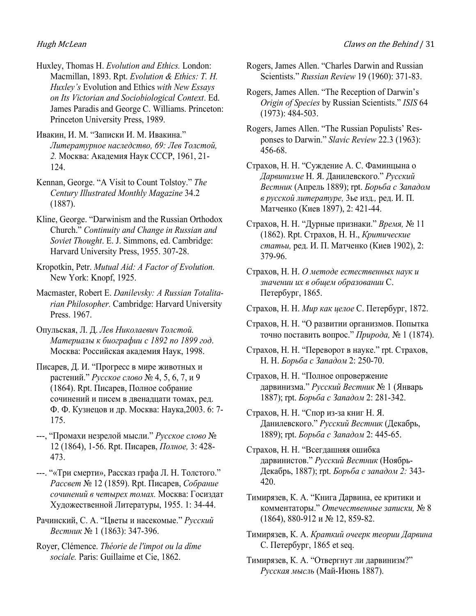- Huxley, Thomas H. Evolution and Ethics. London: Macmillan, 1893. Rpt. Evolution & Ethics: T. H. Huxley's Evolution and Ethics with New Essays on Its Victorian and Sociobiological Context. Ed. James Paradis and George C. Williams. Princeton: Princeton University Press, 1989.
- Ивакин, И. М. "Записки И. М. Ивакина." Литературное наследство, 69: Лев Толстой, 2. Москва: Академия Наук СССР, 1961, 21- 124.
- Kennan, George. "A Visit to Count Tolstoy." The Century Illustrated Monthly Magazine 34.2 (1887).
- Kline, George. "Darwinism and the Russian Orthodox Church." Continuity and Change in Russian and Soviet Thought. E. J. Simmons, ed. Cambridge: Harvard University Press, 1955. 307-28.
- Kropotkin, Petr. Mutual Aid: A Factor of Evolution. New York: Knopf, 1925.
- Macmaster, Robert E. Danilevsky: A Russian Totalitarian Philosopher. Cambridge: Harvard University Press. 1967.
- Опульская, Л. Д. Лев Николаевич Толстой. Материалы к биографии с 1892 по 1899 год. Москва: Российская академия Наук, 1998.
- Писарев, Д. И. "Прогресс в мире животных и растений." Русское слово № 4, 5, 6, 7, и 9 (1864). Rpt. Писарев, Полное собрание сочинений и писем в двенадцати томах, ред. Ф. Ф. Кузнецов и др. Москва: Наука,2003. 6: 7- 175.
- ---, "Промахи незрелой мысли." Русское слово № 12 (1864), 1-56. Rpt. Писарев, Полное, 3: 428- 473.
- ---. "«Три смерти», Рассказ графа Л. Н. Толстого." Рассвет № 12 (1859). Rpt. Писарев, Собрание сочинений в четырех томах. Москва: Госиздат Художественной Литературы, 1955. 1: 34-44.
- Рачинский, С. А. "Цветы и насекомые." Русский Вестник № 1 (1863): 347-396.
- Royer, Clémence. Théorie de l'impot ou la dîme sociale. Paris: Guillaime et Cie, 1862.
- Rogers, James Allen. "Charles Darwin and Russian Scientists." Russian Review 19 (1960): 371-83.
- Rogers, James Allen. "The Reception of Darwin's Origin of Species by Russian Scientists." ISIS 64 (1973): 484-503.
- Rogers, James Allen. "The Russian Populists' Responses to Darwin." Slavic Review 22.3 (1963): 456-68.
- Страхов, Н. Н. "Суждение А. С. Фаминцына о Дарвинизме Н. Я. Данилевского." Русский Вестник (Апрель 1889); rpt. Борьба с Западом в русской литературе, 3ье изд., ред. И. П. Матченко (Киев 1897), 2: 421-44.
- Страхов, Н. Н. "Дурные признаки." Время, № 11 (1862). Rpt. Страхов, Н. Н., Критические статьи, ред. И. П. Матченко (Киев 1902), 2: 379-96.
- Страхов, Н. Н. О методе естественных наук и значении их в общем образовании С. Петербург, 1865.
- Страхов, Н. Н. Мир как целое С. Петербург, 1872.
- Страхов, Н. Н. "О развитии организмов. Попытка точно поставить вопрос." Природа, № 1 (1874).
- Страхов, Н. Н. "Переворот в науке." rpt. Страхов, Н. Н. Борьба с Западом 2: 250-70.
- Страхов, Н. Н. "Полное опровержение дарвинизма." Русский Вестник № 1 (Январь 1887); rpt. Борьба с Западом 2: 281-342.
- Страхов, Н. Н. "Спор из-за книг Н. Я. Данилевского." Русский Вестник (Декабрь, 1889); rpt. Борьба с Западом 2: 445-65.
- Страхов, Н. Н. "Всегдашняя ошибка дарвинистов." Русский Вестник (Ноябрь-Декабрь, 1887); rpt. Борьба с западом 2: 343- 420.
- Тимирязев, К. А. "Книга Дарвина, ее критики и комментаторы." Отечественные записки, № 8 (1864), 880-912 и № 12, 859-82.
- Тимирязев, К. А. Краткий очеерк теории Дарвина С. Петербург, 1865 et seq.
- Тимирязев, К. А. "Отвергнут ли дарвинизм?" Русская мысль (Май-Июнь 1887).